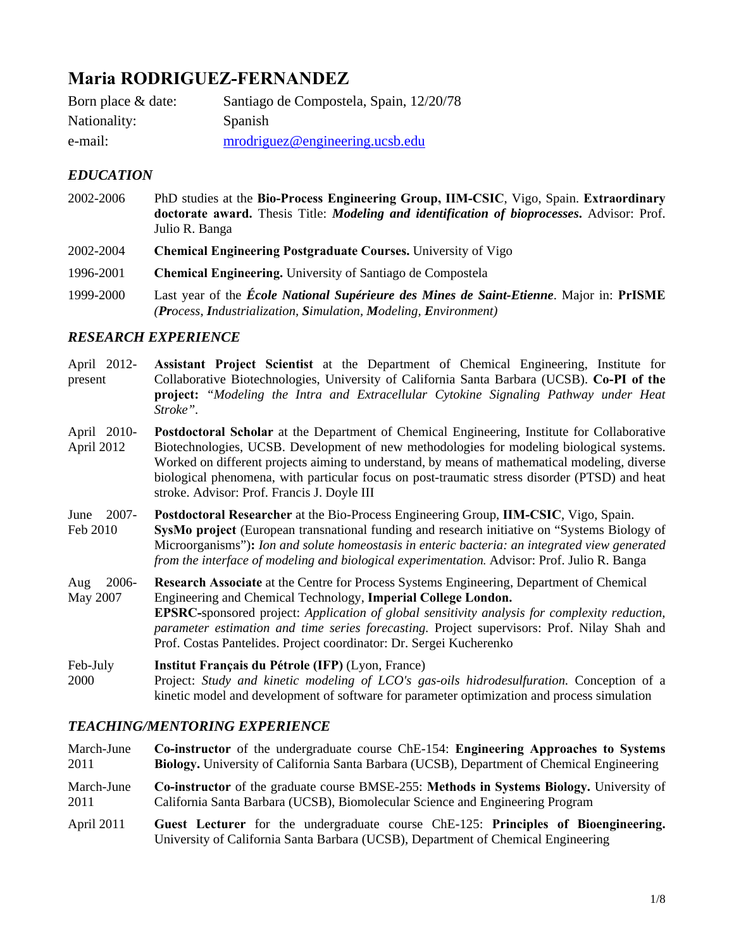# **Maria RODRIGUEZ-FERNANDEZ**

| Born place & date: | Santiago de Compostela, Spain, 12/20/78 |
|--------------------|-----------------------------------------|
| Nationality:       | Spanish                                 |
| e-mail:            | $m\nu$ rodriguez@engineering.ucsb.edu   |

# *EDUCATION*

- 2002-2006 PhD studies at the **Bio-Process Engineering Group, IIM-CSIC**, Vigo, Spain. **Extraordinary doctorate award.** Thesis Title: *Modeling and identification of bioprocesses***.** Advisor: Prof. Julio R. Banga
- 2002-2004 **Chemical Engineering Postgraduate Courses.** University of Vigo
- 1996-2001 **Chemical Engineering.** University of Santiago de Compostela
- 1999-2000 Last year of the *École National Supérieure des Mines de Saint-Etienne*. Major in: **PrISME** *(Process, Industrialization, Simulation, Modeling, Environment)*

# *RESEARCH EXPERIENCE*

- April 2012 present **Assistant Project Scientist** at the Department of Chemical Engineering, Institute for Collaborative Biotechnologies, University of California Santa Barbara (UCSB). **Co-PI of the project:** *"Modeling the Intra and Extracellular Cytokine Signaling Pathway under Heat Stroke".*
- April 2010- April 2012 **Postdoctoral Scholar** at the Department of Chemical Engineering, Institute for Collaborative Biotechnologies, UCSB. Development of new methodologies for modeling biological systems. Worked on different projects aiming to understand, by means of mathematical modeling, diverse biological phenomena, with particular focus on post-traumatic stress disorder (PTSD) and heat stroke. Advisor: Prof. Francis J. Doyle III
- June 2007- Feb 2010 **Postdoctoral Researcher** at the Bio-Process Engineering Group, **IIM-CSIC**, Vigo, Spain. **SysMo project** (European transnational funding and research initiative on "Systems Biology of Microorganisms")**:** *Ion and solute homeostasis in enteric bacteria: an integrated view generated from the interface of modeling and biological experimentation.* Advisor: Prof. Julio R. Banga
- Aug 2006- May 2007 **Research Associate** at the Centre for Process Systems Engineering, Department of Chemical Engineering and Chemical Technology, **Imperial College London. EPSRC-**sponsored project: *Application of global sensitivity analysis for complexity reduction, parameter estimation and time series forecasting.* Project supervisors: Prof. Nilay Shah and Prof. Costas Pantelides. Project coordinator: Dr. Sergei Kucherenko

Feb-July 2000 **Institut Français du Pétrole (IFP)** (Lyon, France) Project: *Study and kinetic modeling of LCO's gas-oils hidrodesulfuration.* Conception of a kinetic model and development of software for parameter optimization and process simulation

# *TEACHING/MENTORING EXPERIENCE*

- March-June 2011 March-June 2011 **Co-instructor** of the undergraduate course ChE-154: **Engineering Approaches to Systems Biology.** University of California Santa Barbara (UCSB), Department of Chemical Engineering **Co-instructor** of the graduate course BMSE-255: **Methods in Systems Biology.** University of California Santa Barbara (UCSB), Biomolecular Science and Engineering Program
- April 2011 **Guest Lecturer** for the undergraduate course ChE-125: **Principles of Bioengineering.**  University of California Santa Barbara (UCSB), Department of Chemical Engineering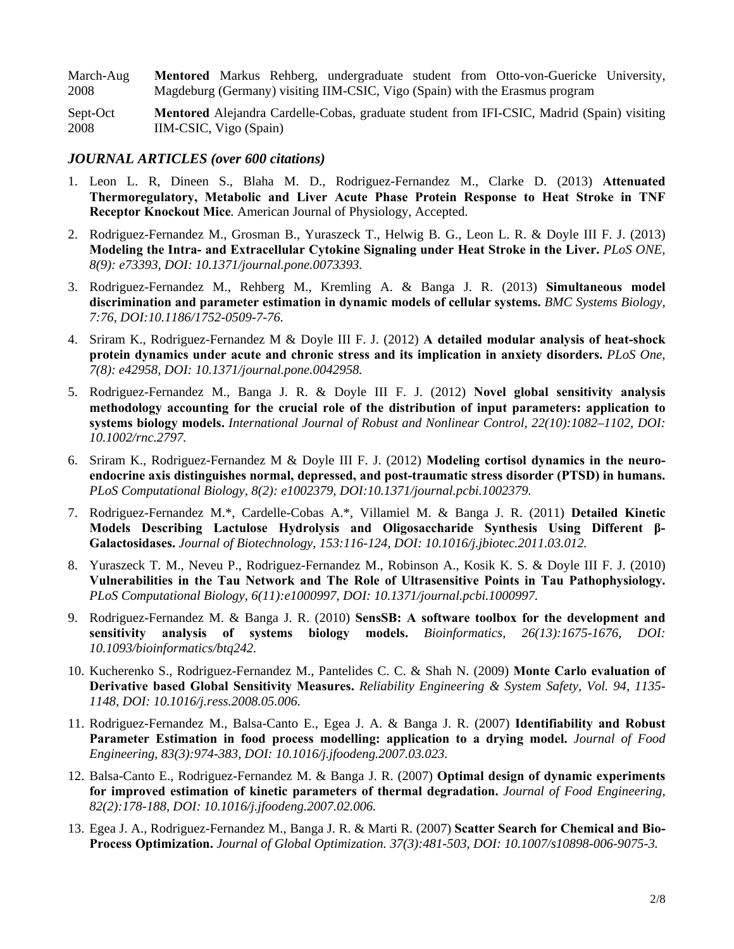March-Aug 2008 **Mentored** Markus Rehberg, undergraduate student from Otto-von-Guericke University, Magdeburg (Germany) visiting IIM-CSIC, Vigo (Spain) with the Erasmus program

Sept-Oct 2008 **Mentored** Alejandra Cardelle-Cobas, graduate student from IFI-CSIC, Madrid (Spain) visiting IIM-CSIC, Vigo (Spain)

#### *JOURNAL ARTICLES (over 600 citations)*

- 1. Leon L. R, Dineen S., Blaha M. D., Rodriguez-Fernandez M., Clarke D. (2013) **Attenuated Thermoregulatory, Metabolic and Liver Acute Phase Protein Response to Heat Stroke in TNF Receptor Knockout Mice***.* American Journal of Physiology, Accepted.
- 2. Rodriguez-Fernandez M., Grosman B., Yuraszeck T., Helwig B. G., Leon L. R. & Doyle III F. J. (2013) **Modeling the Intra- and Extracellular Cytokine Signaling under Heat Stroke in the Liver.** *PLoS ONE, 8(9): e73393, DOI: 10.1371/journal.pone.0073393.*
- 3. Rodriguez-Fernandez M., Rehberg M., Kremling A. & Banga J. R. (2013) **Simultaneous model discrimination and parameter estimation in dynamic models of cellular systems.** *BMC Systems Biology, 7:76, DOI:10.1186/1752-0509-7-76.*
- 4. Sriram K., Rodriguez-Fernandez M & Doyle III F. J. (2012) **A detailed modular analysis of heat-shock protein dynamics under acute and chronic stress and its implication in anxiety disorders.** *PLoS One, 7(8): e42958, DOI: 10.1371/journal.pone.0042958.*
- 5. Rodriguez-Fernandez M., Banga J. R. & Doyle III F. J. (2012) **Novel global sensitivity analysis methodology accounting for the crucial role of the distribution of input parameters: application to systems biology models.** *International Journal of Robust and Nonlinear Control, 22(10):1082–1102, DOI: 10.1002/rnc.2797.*
- 6. Sriram K., Rodriguez-Fernandez M & Doyle III F. J. (2012) **Modeling cortisol dynamics in the neuroendocrine axis distinguishes normal, depressed, and post-traumatic stress disorder (PTSD) in humans.** *PLoS Computational Biology, 8(2): e1002379, DOI:10.1371/journal.pcbi.1002379.*
- 7. Rodriguez-Fernandez M.\*, Cardelle-Cobas A.\*, Villamiel M. & Banga J. R. (2011) **Detailed Kinetic Models Describing Lactulose Hydrolysis and Oligosaccharide Synthesis Using Different β-Galactosidases.** *Journal of Biotechnology, 153:116-124, DOI: 10.1016/j.jbiotec.2011.03.012.*
- 8. Yuraszeck T. M., Neveu P., Rodriguez-Fernandez M., Robinson A., Kosik K. S. & Doyle III F. J. (2010) **Vulnerabilities in the Tau Network and The Role of Ultrasensitive Points in Tau Pathophysiology.** *PLoS Computational Biology, 6(11):e1000997, DOI: 10.1371/journal.pcbi.1000997.*
- 9. Rodriguez-Fernandez M. & Banga J. R. (2010) **SensSB: A software toolbox for the development and sensitivity analysis of systems biology models.** *Bioinformatics, 26(13):1675-1676, DOI: 10.1093/bioinformatics/btq242.*
- 10. Kucherenko S., Rodriguez-Fernandez M., Pantelides C. C. & Shah N. (2009) **Monte Carlo evaluation of Derivative based Global Sensitivity Measures.** *Reliability Engineering & System Safety, Vol. 94, 1135- 1148, DOI: 10.1016/j.ress.2008.05.006.*
- 11. Rodriguez-Fernandez M., Balsa-Canto E., Egea J. A. & Banga J. R. (2007) **Identifiability and Robust Parameter Estimation in food process modelling: application to a drying model.** *Journal of Food Engineering, 83(3):974-383, DOI: 10.1016/j.jfoodeng.2007.03.023.*
- 12. Balsa-Canto E., Rodriguez-Fernandez M. & Banga J. R. (2007) **Optimal design of dynamic experiments for improved estimation of kinetic parameters of thermal degradation.** *Journal of Food Engineering, 82(2):178-188, DOI: 10.1016/j.jfoodeng.2007.02.006.*
- 13. Egea J. A., Rodriguez-Fernandez M., Banga J. R. & Marti R. (2007) **Scatter Search for Chemical and Bio-Process Optimization.** *Journal of Global Optimization. 37(3):481-503, DOI: 10.1007/s10898-006-9075-3.*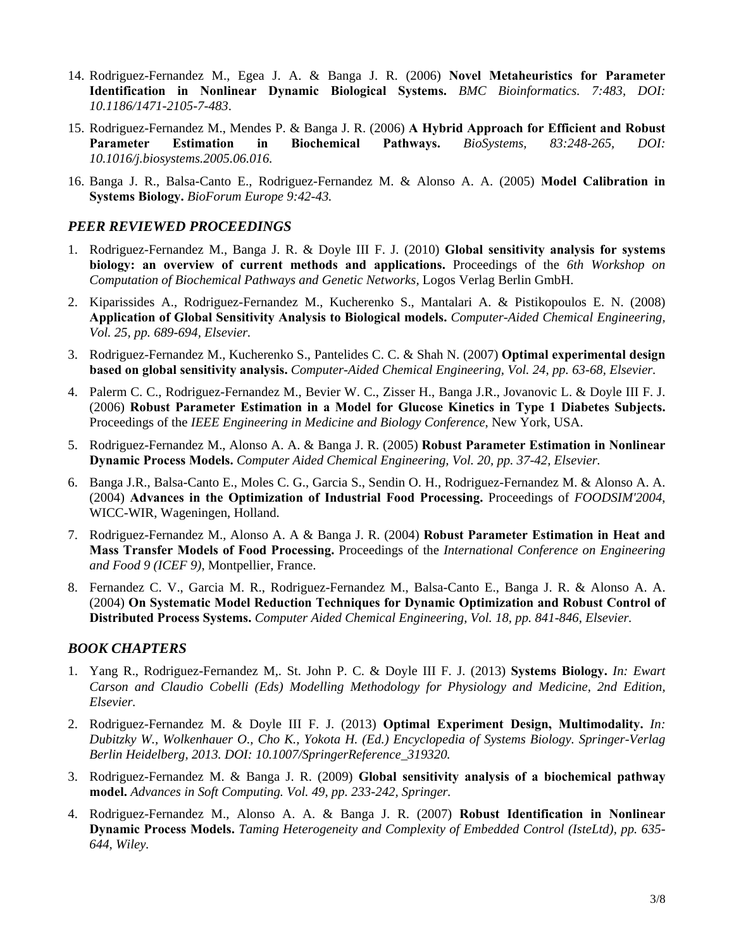- 14. Rodriguez-Fernandez M., Egea J. A. & Banga J. R. (2006) **Novel Metaheuristics for Parameter Identification in Nonlinear Dynamic Biological Systems.** *BMC Bioinformatics. 7:483, DOI: 10.1186/1471-2105-7-483*.
- 15. Rodriguez-Fernandez M., Mendes P. & Banga J. R. (2006) **A Hybrid Approach for Efficient and Robust Parameter Estimation in Biochemical Pathways.** *BioSystems, 83:248-265, DOI: 10.1016/j.biosystems.2005.06.016.*
- 16. Banga J. R., Balsa-Canto E., Rodriguez-Fernandez M. & Alonso A. A. (2005) **Model Calibration in Systems Biology.** *BioForum Europe 9:42-43.*

## *PEER REVIEWED PROCEEDINGS*

- 1. Rodriguez-Fernandez M., Banga J. R. & Doyle III F. J. (2010) **Global sensitivity analysis for systems biology: an overview of current methods and applications.** Proceedings of the *6th Workshop on Computation of Biochemical Pathways and Genetic Networks,* Logos Verlag Berlin GmbH.
- 2. Kiparissides A., Rodriguez-Fernandez M., Kucherenko S., Mantalari A. & Pistikopoulos E. N. (2008) **Application of Global Sensitivity Analysis to Biological models.** *Computer-Aided Chemical Engineering, Vol. 25, pp. 689-694, Elsevier.*
- 3. Rodriguez-Fernandez M., Kucherenko S., Pantelides C. C. & Shah N. (2007) **Optimal experimental design based on global sensitivity analysis.** *Computer-Aided Chemical Engineering, Vol. 24, pp. 63-68, Elsevier.*
- 4. Palerm C. C., Rodriguez-Fernandez M., Bevier W. C., Zisser H., Banga J.R., Jovanovic L. & Doyle III F. J. (2006) **Robust Parameter Estimation in a Model for Glucose Kinetics in Type 1 Diabetes Subjects.** Proceedings of the *IEEE Engineering in Medicine and Biology Conference*, New York, USA.
- 5. Rodriguez-Fernandez M., Alonso A. A. & Banga J. R. (2005) **Robust Parameter Estimation in Nonlinear Dynamic Process Models.** *Computer Aided Chemical Engineering, Vol. 20, pp. 37-42, Elsevier.*
- 6. Banga J.R., Balsa-Canto E., Moles C. G., Garcia S., Sendin O. H., Rodriguez-Fernandez M. & Alonso A. A. (2004) **Advances in the Optimization of Industrial Food Processing.** Proceedings of *FOODSIM'2004*, WICC-WIR, Wageningen, Holland.
- 7. Rodriguez-Fernandez M., Alonso A. A & Banga J. R. (2004) **Robust Parameter Estimation in Heat and Mass Transfer Models of Food Processing.** Proceedings of the *International Conference on Engineering and Food 9 (ICEF 9)*, Montpellier, France.
- 8. Fernandez C. V., Garcia M. R., Rodriguez-Fernandez M., Balsa-Canto E., Banga J. R. & Alonso A. A. (2004) **On Systematic Model Reduction Techniques for Dynamic Optimization and Robust Control of Distributed Process Systems.** *Computer Aided Chemical Engineering, Vol. 18, pp. 841-846, Elsevier.*

### *BOOK CHAPTERS*

- 1. Yang R., Rodriguez-Fernandez M,. St. John P. C. & Doyle III F. J. (2013) **Systems Biology.** *In: Ewart Carson and Claudio Cobelli (Eds) Modelling Methodology for Physiology and Medicine, 2nd Edition, Elsevier.*
- 2. Rodriguez-Fernandez M. & Doyle III F. J. (2013) **Optimal Experiment Design, Multimodality.** *In: Dubitzky W., Wolkenhauer O., Cho K., Yokota H. (Ed.) Encyclopedia of Systems Biology. Springer-Verlag Berlin Heidelberg, 2013. DOI: 10.1007/SpringerReference\_319320.*
- 3. Rodriguez-Fernandez M. & Banga J. R. (2009) **Global sensitivity analysis of a biochemical pathway model.** *Advances in Soft Computing. Vol. 49, pp. 233-242, Springer.*
- 4. Rodriguez-Fernandez M., Alonso A. A. & Banga J. R. (2007) **Robust Identification in Nonlinear Dynamic Process Models.** *Taming Heterogeneity and Complexity of Embedded Control (IsteLtd), pp. 635- 644, Wiley.*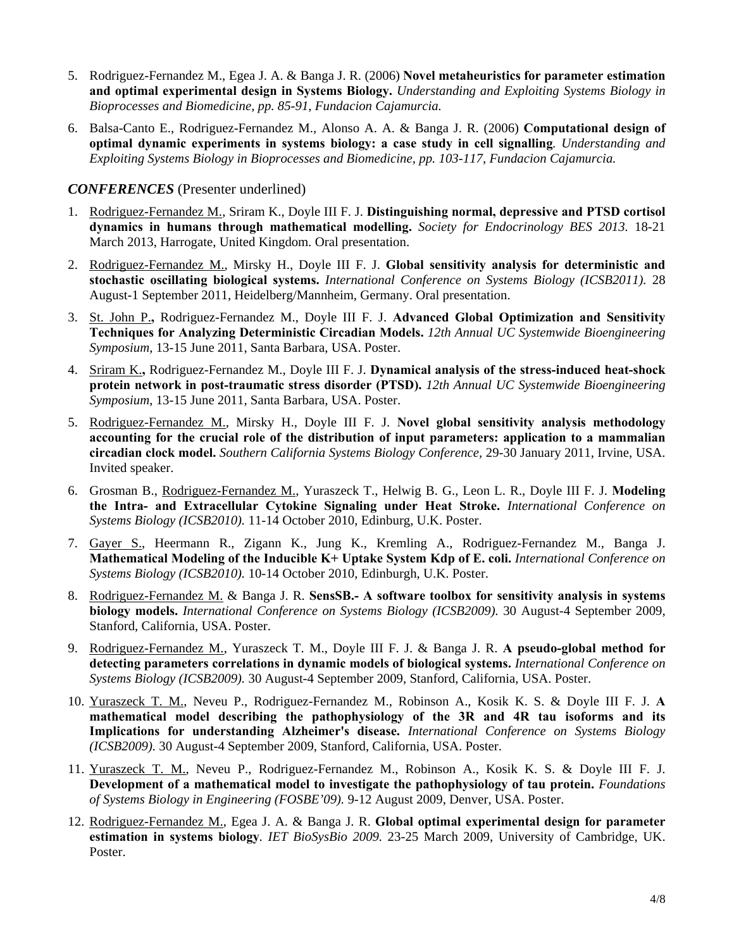- 5. Rodriguez-Fernandez M., Egea J. A. & Banga J. R. (2006) **Novel metaheuristics for parameter estimation and optimal experimental design in Systems Biology.** *Understanding and Exploiting Systems Biology in Bioprocesses and Biomedicine, pp. 85-91, Fundacion Cajamurcia.*
- 6. Balsa-Canto E., Rodriguez-Fernandez M., Alonso A. A. & Banga J. R. (2006) **Computational design of optimal dynamic experiments in systems biology: a case study in cell signalling***. Understanding and Exploiting Systems Biology in Bioprocesses and Biomedicine, pp. 103-117, Fundacion Cajamurcia.*

#### *CONFERENCES* (Presenter underlined)

- 1. Rodriguez-Fernandez M., Sriram K., Doyle III F. J. **Distinguishing normal, depressive and PTSD cortisol dynamics in humans through mathematical modelling.** *Society for Endocrinology BES 2013.* 18-21 March 2013, Harrogate, United Kingdom. Oral presentation.
- 2. Rodriguez-Fernandez M., Mirsky H., Doyle III F. J. **Global sensitivity analysis for deterministic and stochastic oscillating biological systems.** *International Conference on Systems Biology (ICSB2011).* 28 August-1 September 2011, Heidelberg/Mannheim, Germany. Oral presentation.
- 3. St. John P.**,** Rodriguez-Fernandez M., Doyle III F. J. **Advanced Global Optimization and Sensitivity Techniques for Analyzing Deterministic Circadian Models.** *12th Annual UC Systemwide Bioengineering Symposium*, 13-15 June 2011, Santa Barbara, USA. Poster.
- 4. Sriram K.**,** Rodriguez-Fernandez M., Doyle III F. J. **Dynamical analysis of the stress-induced heat-shock protein network in post-traumatic stress disorder (PTSD).** *12th Annual UC Systemwide Bioengineering Symposium*, 13-15 June 2011, Santa Barbara, USA. Poster.
- 5. Rodriguez-Fernandez M., Mirsky H., Doyle III F. J. **Novel global sensitivity analysis methodology accounting for the crucial role of the distribution of input parameters: application to a mammalian circadian clock model.** *Southern California Systems Biology Conference,* 29-30 January 2011, Irvine, USA. Invited speaker.
- 6. Grosman B., Rodriguez-Fernandez M., Yuraszeck T., Helwig B. G., Leon L. R., Doyle III F. J. **Modeling the Intra- and Extracellular Cytokine Signaling under Heat Stroke.** *International Conference on Systems Biology (ICSB2010).* 11-14 October 2010, Edinburg, U.K. Poster.
- 7. Gayer S., Heermann R., Zigann K., Jung K., Kremling A., Rodriguez-Fernandez M., Banga J. **Mathematical Modeling of the Inducible K+ Uptake System Kdp of E. coli.** *International Conference on Systems Biology (ICSB2010).* 10-14 October 2010, Edinburgh, U.K. Poster.
- 8. Rodriguez-Fernandez M. & Banga J. R. **SensSB.- A software toolbox for sensitivity analysis in systems biology models.** *International Conference on Systems Biology (ICSB2009).* 30 August-4 September 2009, Stanford, California, USA. Poster.
- 9. Rodriguez-Fernandez M., Yuraszeck T. M., Doyle III F. J. & Banga J. R. **A pseudo-global method for detecting parameters correlations in dynamic models of biological systems.** *International Conference on Systems Biology (ICSB2009).* 30 August-4 September 2009, Stanford, California, USA. Poster.
- 10. Yuraszeck T. M., Neveu P., Rodriguez-Fernandez M., Robinson A., Kosik K. S. & Doyle III F. J. **A mathematical model describing the pathophysiology of the 3R and 4R tau isoforms and its Implications for understanding Alzheimer's disease.** *International Conference on Systems Biology (ICSB2009).* 30 August-4 September 2009, Stanford, California, USA. Poster.
- 11. Yuraszeck T. M., Neveu P., Rodriguez-Fernandez M., Robinson A., Kosik K. S. & Doyle III F. J. **Development of a mathematical model to investigate the pathophysiology of tau protein.** *Foundations of Systems Biology in Engineering (FOSBE'09).* 9-12 August 2009, Denver, USA. Poster.
- 12. Rodriguez-Fernandez M., Egea J. A. & Banga J. R. **Global optimal experimental design for parameter estimation in systems biology***. IET BioSysBio 2009.* 23-25 March 2009, University of Cambridge, UK. Poster.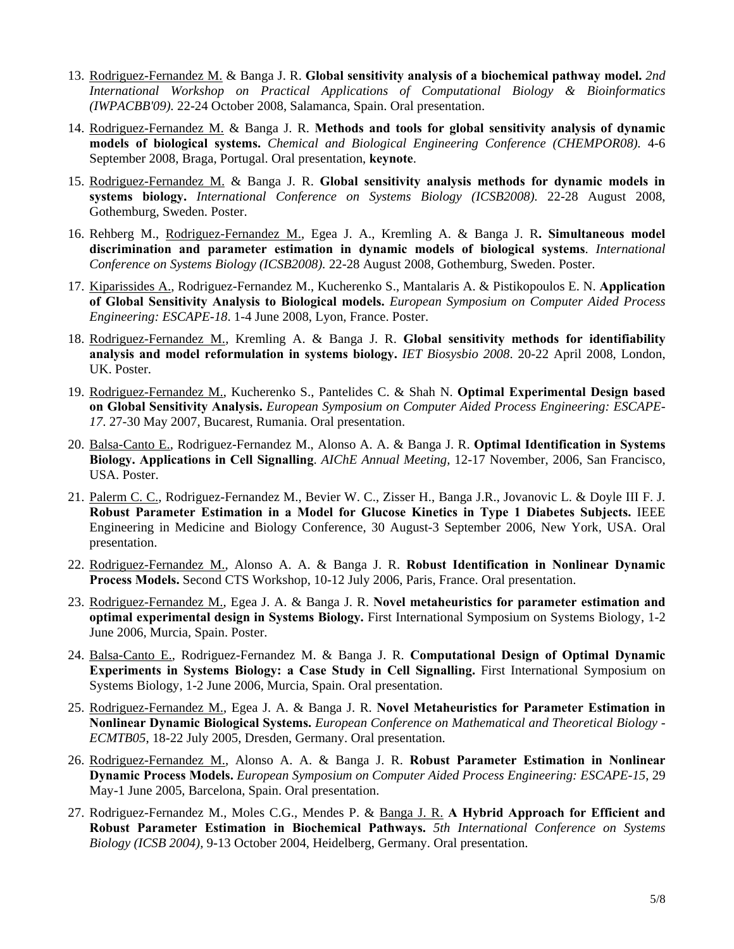- 13. Rodriguez-Fernandez M. & Banga J. R. **Global sensitivity analysis of a biochemical pathway model.** *2nd International Workshop on Practical Applications of Computational Biology & Bioinformatics (IWPACBB'09).* 22-24 October 2008, Salamanca, Spain. Oral presentation.
- 14. Rodriguez-Fernandez M. & Banga J. R. **Methods and tools for global sensitivity analysis of dynamic models of biological systems.** *Chemical and Biological Engineering Conference (CHEMPOR08).* 4-6 September 2008, Braga, Portugal. Oral presentation, **keynote**.
- 15. Rodriguez-Fernandez M. & Banga J. R. **Global sensitivity analysis methods for dynamic models in systems biology.** *International Conference on Systems Biology (ICSB2008).* 22-28 August 2008, Gothemburg, Sweden. Poster.
- 16. Rehberg M., Rodriguez-Fernandez M., Egea J. A., Kremling A. & Banga J. R**. Simultaneous model discrimination and parameter estimation in dynamic models of biological systems**. *International Conference on Systems Biology (ICSB2008).* 22-28 August 2008, Gothemburg, Sweden. Poster.
- 17. Kiparissides A., Rodriguez-Fernandez M., Kucherenko S., Mantalaris A. & Pistikopoulos E. N. **Application of Global Sensitivity Analysis to Biological models.** *European Symposium on Computer Aided Process Engineering: ESCAPE-18*. 1-4 June 2008, Lyon, France. Poster.
- 18. Rodriguez-Fernandez M., Kremling A. & Banga J. R. **Global sensitivity methods for identifiability analysis and model reformulation in systems biology.** *IET Biosysbio 2008*. 20-22 April 2008, London, UK. Poster.
- 19. Rodriguez-Fernandez M., Kucherenko S., Pantelides C. & Shah N. **Optimal Experimental Design based on Global Sensitivity Analysis.** *European Symposium on Computer Aided Process Engineering: ESCAPE-17*. 27-30 May 2007, Bucarest, Rumania. Oral presentation.
- 20. Balsa-Canto E., Rodriguez-Fernandez M., Alonso A. A. & Banga J. R. **Optimal Identification in Systems Biology. Applications in Cell Signalling**. *AIChE Annual Meeting,* 12-17 November, 2006, San Francisco, USA. Poster.
- 21. Palerm C. C., Rodriguez-Fernandez M., Bevier W. C., Zisser H., Banga J.R., Jovanovic L. & Doyle III F. J. **Robust Parameter Estimation in a Model for Glucose Kinetics in Type 1 Diabetes Subjects.** IEEE Engineering in Medicine and Biology Conference, 30 August-3 September 2006, New York, USA. Oral presentation.
- 22. Rodriguez-Fernandez M., Alonso A. A. & Banga J. R. **Robust Identification in Nonlinear Dynamic Process Models.** Second CTS Workshop, 10-12 July 2006, Paris, France. Oral presentation.
- 23. Rodriguez-Fernandez M., Egea J. A. & Banga J. R. **Novel metaheuristics for parameter estimation and optimal experimental design in Systems Biology.** First International Symposium on Systems Biology, 1-2 June 2006, Murcia, Spain. Poster.
- 24. Balsa-Canto E., Rodriguez-Fernandez M. & Banga J. R. **Computational Design of Optimal Dynamic Experiments in Systems Biology: a Case Study in Cell Signalling.** First International Symposium on Systems Biology, 1-2 June 2006, Murcia, Spain. Oral presentation.
- 25. Rodriguez-Fernandez M., Egea J. A. & Banga J. R. **Novel Metaheuristics for Parameter Estimation in Nonlinear Dynamic Biological Systems.** *European Conference on Mathematical and Theoretical Biology - ECMTB05*, 18-22 July 2005, Dresden, Germany. Oral presentation.
- 26. Rodriguez-Fernandez M., Alonso A. A. & Banga J. R. **Robust Parameter Estimation in Nonlinear Dynamic Process Models.** *European Symposium on Computer Aided Process Engineering: ESCAPE-15*, 29 May-1 June 2005, Barcelona, Spain. Oral presentation.
- 27. Rodriguez-Fernandez M., Moles C.G., Mendes P. & Banga J. R. **A Hybrid Approach for Efficient and Robust Parameter Estimation in Biochemical Pathways.** *5th International Conference on Systems Biology (ICSB 2004),* 9-13 October 2004, Heidelberg, Germany. Oral presentation.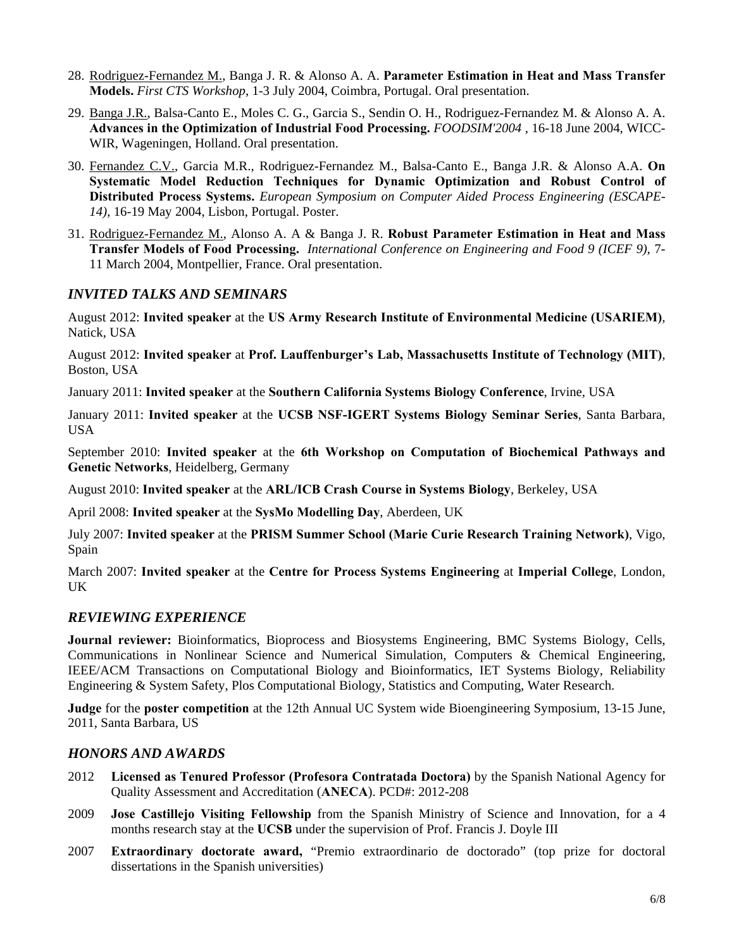- 28. Rodriguez-Fernandez M., Banga J. R. & Alonso A. A. **Parameter Estimation in Heat and Mass Transfer Models.** *First CTS Workshop*, 1-3 July 2004, Coimbra, Portugal. Oral presentation.
- 29. Banga J.R., Balsa-Canto E., Moles C. G., Garcia S., Sendin O. H., Rodriguez-Fernandez M. & Alonso A. A. **Advances in the Optimization of Industrial Food Processing.** *FOODSIM'2004 ,* 16-18 June 2004, WICC-WIR, Wageningen, Holland. Oral presentation.
- 30. Fernandez C.V., Garcia M.R., Rodriguez-Fernandez M., Balsa-Canto E., Banga J.R. & Alonso A.A. **On Systematic Model Reduction Techniques for Dynamic Optimization and Robust Control of Distributed Process Systems.** *European Symposium on Computer Aided Process Engineering (ESCAPE-14)*, 16-19 May 2004, Lisbon, Portugal. Poster.
- 31. Rodriguez-Fernandez M., Alonso A. A & Banga J. R. **Robust Parameter Estimation in Heat and Mass Transfer Models of Food Processing.** *International Conference on Engineering and Food 9 (ICEF 9)*, 7- 11 March 2004, Montpellier, France. Oral presentation.

# *INVITED TALKS AND SEMINARS*

August 2012: **Invited speaker** at the **US Army Research Institute of Environmental Medicine (USARIEM)***,*  Natick, USA

August 2012: **Invited speaker** at **Prof. Lauffenburger's Lab, Massachusetts Institute of Technology (MIT)***,*  Boston, USA

January 2011: **Invited speaker** at the **Southern California Systems Biology Conference**, Irvine, USA

January 2011: **Invited speaker** at the **UCSB NSF-IGERT Systems Biology Seminar Series**, Santa Barbara, USA

September 2010: **Invited speaker** at the **6th Workshop on Computation of Biochemical Pathways and Genetic Networks**, Heidelberg, Germany

August 2010: **Invited speaker** at the **ARL/ICB Crash Course in Systems Biology**, Berkeley, USA

April 2008: **Invited speaker** at the **SysMo Modelling Day**, Aberdeen, UK

July 2007: **Invited speaker** at the **PRISM Summer School (Marie Curie Research Training Network)**, Vigo, Spain

March 2007: **Invited speaker** at the **Centre for Process Systems Engineering** at **Imperial College**, London, UK

### *REVIEWING EXPERIENCE*

**Journal reviewer:** Bioinformatics, Bioprocess and Biosystems Engineering, BMC Systems Biology, Cells, Communications in Nonlinear Science and Numerical Simulation, Computers & Chemical Engineering, IEEE/ACM Transactions on Computational Biology and Bioinformatics, IET Systems Biology, Reliability Engineering & System Safety, Plos Computational Biology, Statistics and Computing, Water Research.

**Judge** for the **poster competition** at the 12th Annual UC System wide Bioengineering Symposium, 13-15 June, 2011, Santa Barbara, US

#### *HONORS AND AWARDS*

- 2012 **Licensed as Tenured Professor (Profesora Contratada Doctora)** by the Spanish National Agency for Quality Assessment and Accreditation (**ANECA**). PCD#: 2012-208
- 2009 **Jose Castillejo Visiting Fellowship** from the Spanish Ministry of Science and Innovation, for a 4 months research stay at the **UCSB** under the supervision of Prof. Francis J. Doyle III
- 2007 **Extraordinary doctorate award,** "Premio extraordinario de doctorado" (top prize for doctoral dissertations in the Spanish universities)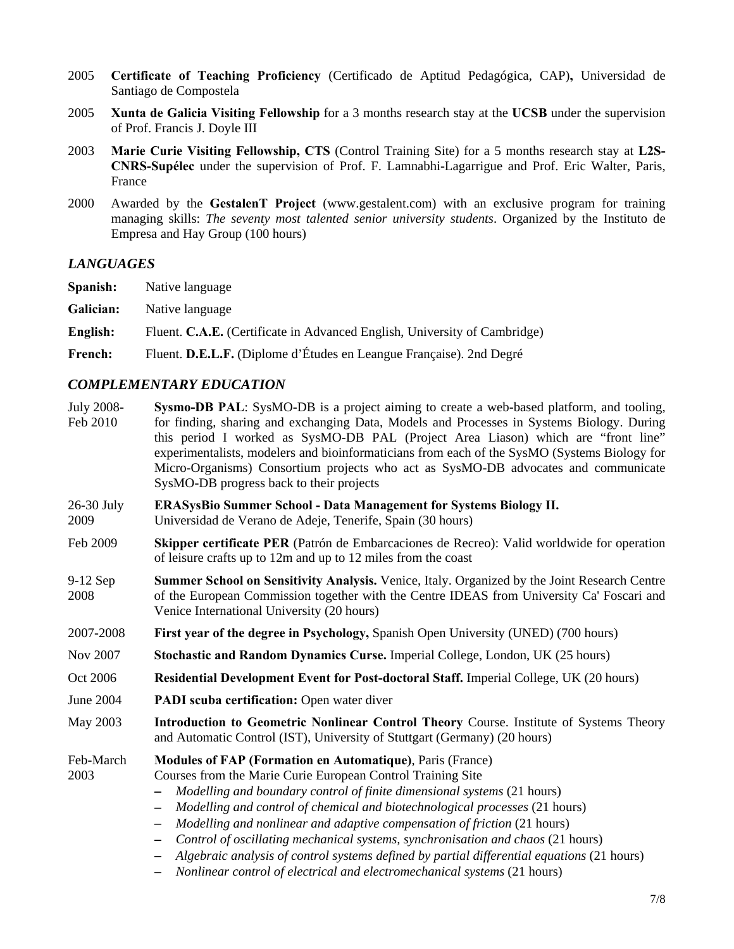- 2005 **Certificate of Teaching Proficiency** (Certificado de Aptitud Pedagógica, CAP)**,** Universidad de Santiago de Compostela
- 2005 **Xunta de Galicia Visiting Fellowship** for a 3 months research stay at the **UCSB** under the supervision of Prof. Francis J. Doyle III
- 2003 **Marie Curie Visiting Fellowship, CTS** (Control Training Site) for a 5 months research stay at **L2S-CNRS-Supélec** under the supervision of Prof. F. Lamnabhi-Lagarrigue and Prof. Eric Walter, Paris, France
- 2000 Awarded by the **GestalenT Project** (www.gestalent.com) with an exclusive program for training managing skills: *The seventy most talented senior university students*. Organized by the Instituto de Empresa and Hay Group (100 hours)

#### *LANGUAGES*

**Spanish:** Native language

**Galician:** Native language

**English:** Fluent. **C.A.E.** (Certificate in Advanced English, University of Cambridge)

**French:** Fluent. **D.E.L.F.** (Diplome d'Études en Leangue Française). 2nd Degré

#### *COMPLEMENTARY EDUCATION*

- July 2008- Feb 2010 **Sysmo-DB PAL**: SysMO-DB is a project aiming to create a web-based platform, and tooling, for finding, sharing and exchanging Data, Models and Processes in Systems Biology. During this period I worked as SysMO-DB PAL (Project Area Liason) which are "front line" experimentalists, modelers and bioinformaticians from each of the SysMO (Systems Biology for Micro-Organisms) Consortium projects who act as SysMO-DB advocates and communicate SysMO-DB progress back to their projects
- 26-30 July 2009 **ERASysBio Summer School - Data Management for Systems Biology II.**  Universidad de Verano de Adeje, Tenerife, Spain (30 hours)
- Feb 2009 **Skipper certificate PER** (Patrón de Embarcaciones de Recreo): Valid worldwide for operation of leisure crafts up to 12m and up to 12 miles from the coast
- 9-12 Sep 2008 **Summer School on Sensitivity Analysis.** Venice, Italy. Organized by the Joint Research Centre of the European Commission together with the Centre IDEAS from University Ca' Foscari and Venice International University (20 hours)
- 2007-2008 **First year of the degree in Psychology,** Spanish Open University (UNED) (700 hours)
- Nov 2007 **Stochastic and Random Dynamics Curse.** Imperial College, London, UK (25 hours)
- Oct 2006 **Residential Development Event for Post-doctoral Staff.** Imperial College, UK (20 hours)
- June 2004 **PADI scuba certification:** Open water diver
- May 2003 **Introduction to Geometric Nonlinear Control Theory** Course. Institute of Systems Theory and Automatic Control (IST), University of Stuttgart (Germany) (20 hours)

#### Feb-March **Modules of FAP (Formation en Automatique)**, Paris (France)

2003

*Modelling and boundary control of finite dimensional systems* (21 hours)

Courses from the Marie Curie European Control Training Site

- *Modelling and control of chemical and biotechnological processes* (21 hours)
- *Modelling and nonlinear and adaptive compensation of friction* (21 hours)
- *Control of oscillating mechanical systems, synchronisation and chaos* (21 hours)
- *Algebraic analysis of control systems defined by partial differential equations* (21 hours)
- *Nonlinear control of electrical and electromechanical systems* (21 hours)